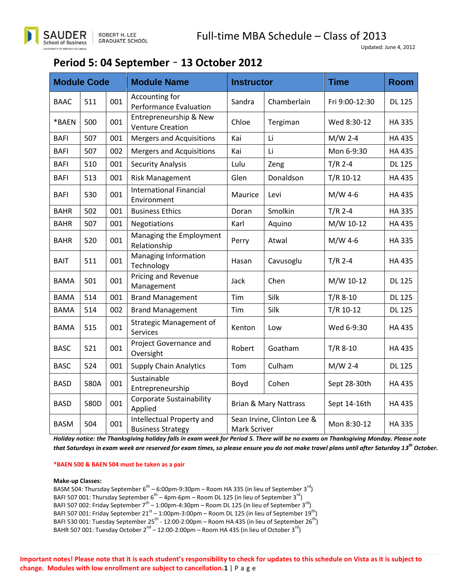### **Period 5: 04 September** – **13 October 2012**

| <b>Module Code</b> |      |     | <b>Module Name</b>                                    | <b>Instructor</b>                          |             | <b>Time</b>    | <b>Room</b>   |
|--------------------|------|-----|-------------------------------------------------------|--------------------------------------------|-------------|----------------|---------------|
| <b>BAAC</b>        | 511  | 001 | Accounting for<br>Performance Evaluation              | Sandra                                     | Chamberlain | Fri 9:00-12:30 | <b>DL 125</b> |
| *BAEN              | 500  | 001 | Entrepreneurship & New<br><b>Venture Creation</b>     | Chloe                                      | Tergiman    | Wed 8:30-12    | <b>HA335</b>  |
| <b>BAFI</b>        | 507  | 001 | <b>Mergers and Acquisitions</b>                       | Kai                                        | Li          | $M/W$ 2-4      | <b>HA435</b>  |
| <b>BAFI</b>        | 507  | 002 | <b>Mergers and Acquisitions</b>                       | Kai                                        | Li          | Mon 6-9:30     | <b>HA435</b>  |
| <b>BAFI</b>        | 510  | 001 | <b>Security Analysis</b>                              | Lulu                                       | Zeng        | $T/R$ 2-4      | <b>DL 125</b> |
| <b>BAFI</b>        | 513  | 001 | <b>Risk Management</b>                                | Glen                                       | Donaldson   | $T/R$ 10-12    | <b>HA435</b>  |
| <b>BAFI</b>        | 530  | 001 | <b>International Financial</b><br>Environment         | Maurice                                    | Levi        | $M/W$ 4-6      | <b>HA435</b>  |
| <b>BAHR</b>        | 502  | 001 | <b>Business Ethics</b>                                | Doran                                      | Smolkin     | $T/R$ 2-4      | <b>HA335</b>  |
| <b>BAHR</b>        | 507  | 001 | Negotiations                                          | Karl                                       | Aquino      | M/W 10-12      | <b>HA435</b>  |
| <b>BAHR</b>        | 520  | 001 | Managing the Employment<br>Relationship               | Perry                                      | Atwal       | $M/W$ 4-6      | <b>HA335</b>  |
| BAIT               | 511  | 001 | Managing Information<br>Technology                    | Hasan                                      | Cavusoglu   | $T/R$ 2-4      | <b>HA435</b>  |
| <b>BAMA</b>        | 501  | 001 | Pricing and Revenue<br>Management                     | Jack                                       | Chen        | M/W 10-12      | <b>DL 125</b> |
| <b>BAMA</b>        | 514  | 001 | <b>Brand Management</b>                               | Tim                                        | Silk        | $T/R$ 8-10     | <b>DL 125</b> |
| <b>BAMA</b>        | 514  | 002 | <b>Brand Management</b>                               | Tim                                        | Silk        | $T/R$ 10-12    | <b>DL 125</b> |
| <b>BAMA</b>        | 515  | 001 | <b>Strategic Management of</b><br><b>Services</b>     | Kenton                                     | Low         | Wed 6-9:30     | HA 435        |
| <b>BASC</b>        | 521  | 001 | Project Governance and<br>Oversight                   | Robert                                     | Goatham     | $T/R$ 8-10     | HA 435        |
| <b>BASC</b>        | 524  | 001 | <b>Supply Chain Analytics</b>                         | Tom                                        | Culham      | $M/W$ 2-4      | <b>DL 125</b> |
| <b>BASD</b>        | 580A | 001 | Sustainable<br>Entrepreneurship                       | Boyd                                       | Cohen       | Sept 28-30th   | <b>HA435</b>  |
| <b>BASD</b>        | 580D | 001 | <b>Corporate Sustainability</b><br>Applied            | <b>Brian &amp; Mary Nattrass</b>           |             | Sept 14-16th   | HA 435        |
| <b>BASM</b>        | 504  | 001 | Intellectual Property and<br><b>Business Strategy</b> | Sean Irvine, Clinton Lee &<br>Mark Scriver |             | Mon 8:30-12    | <b>HA335</b>  |

*Holiday notice: the Thanksgiving holiday falls in exam week for Period 5. There will be no exams on Thanksgiving Monday. Please note that Saturdays in exam week are reserved for exam times, so please ensure you do not make travel plans until after Saturday 13 th October.*

#### **\*BAEN 500 & BAEN 504 must be taken as a pair**

#### **Make-up Classes:**

BASM 504: Thursday September 6<sup>th</sup> – 6:00pm-9:30pm – Room HA 335 (in lieu of September 3<sup>rd</sup>) BAFI 507 001: Thursday September 6<sup>th</sup> – 4pm-6pm – Room DL 125 (in lieu of September 3<sup>rd</sup>) BAFI 507 002: Friday September 7<sup>th</sup> – 1:00pm-4:30pm – Room DL 125 (in lieu of September 3<sup>rd</sup>) BAFI 507 001: Friday September 21 $^{\rm st}$  – 1:00pm-3:00pm – Room DL 125 (in lieu of September 19 $^{\rm th})$ BAFI 530 001: Tuesday September 25<sup>th</sup> - 12:00-2:00pm – Room HA 435 (in lieu of September 26<sup>th</sup>) BAHR 507 001: Tuesday October 2 $^{\text{nd}}$  – 12:00-2:00pm – Room HA 435 (in lieu of October 3 $^{\text{rd}}$ )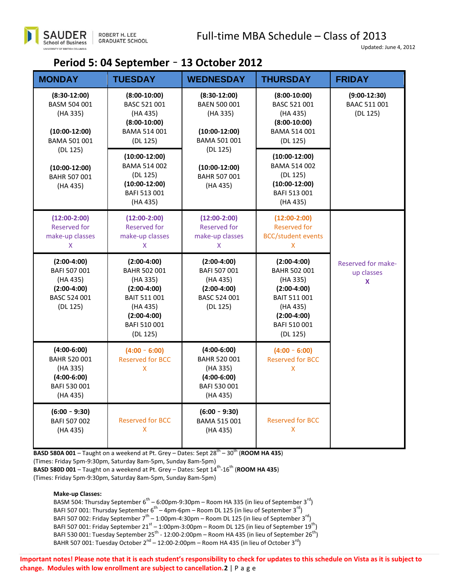### **Period 5: 04 September** – **13 October 2012**

| <b>MONDAY</b>                                                                                 | <b>TUESDAY</b>                                                                                                                                                      | <b>WEDNESDAY</b>                                                                                  | <b>THURSDAY</b>                                                                                                                            | <b>FRIDAY</b>                              |
|-----------------------------------------------------------------------------------------------|---------------------------------------------------------------------------------------------------------------------------------------------------------------------|---------------------------------------------------------------------------------------------------|--------------------------------------------------------------------------------------------------------------------------------------------|--------------------------------------------|
| $(8:30-12:00)$<br>BASM 504 001<br>(HA 335)<br>$(10:00-12:00)$<br>BAMA 501 001                 | $(8:00-10:00)$<br>BASC 521 001<br>(HA 435)<br>$(8:00-10:00)$<br>BAMA 514 001<br>(DL 125)                                                                            | $(8:30-12:00)$<br>BAEN 500 001<br>(HA 335)<br>$(10:00-12:00)$<br><b>BAMA 501 001</b>              | $(8:00-10:00)$<br>BASC 521 001<br>(HA 435)<br>$(8:00-10:00)$<br>BAMA 514 001<br>(DL 125)                                                   | $(9:00-12:30)$<br>BAAC 511 001<br>(DL 125) |
| (DL 125)<br>$(10:00-12:00)$<br><b>BAHR 507 001</b><br>(HA 435)                                | (DL 125)<br>$(10:00-12:00)$<br><b>BAMA 514 002</b><br>$(10:00-12:00)$<br>(DL 125)<br><b>BAHR 507 001</b><br>$(10:00-12:00)$<br>(HA 435)<br>BAFI 513 001<br>(HA 435) | $(10:00-12:00)$<br><b>BAMA 514 002</b><br>(DL 125)<br>$(10:00-12:00)$<br>BAFI 513 001<br>(HA 435) |                                                                                                                                            |                                            |
| $(12:00-2:00)$<br><b>Reserved for</b><br>make-up classes<br>X.                                | $(12:00-2:00)$<br><b>Reserved for</b><br>make-up classes<br>X.                                                                                                      | $(12:00-2:00)$<br><b>Reserved for</b><br>make-up classes<br>X.                                    | $(12:00-2:00)$<br><b>Reserved for</b><br><b>BCC/student events</b><br>X.                                                                   |                                            |
| $(2:00-4:00)$<br>BAFI 507 001<br>(HA 435)<br>$(2:00-4:00)$<br>BASC 524 001<br>(DL 125)        | $(2:00-4:00)$<br><b>BAHR 502 001</b><br>(HA 335)<br>$(2:00-4:00)$<br>BAIT 511 001<br>(HA 435)<br>$(2:00-4:00)$<br>BAFI 510 001<br>(DL 125)                          | $(2:00-4:00)$<br>BAFI 507 001<br>(HA 435)<br>$(2:00-4:00)$<br>BASC 524 001<br>(DL 125)            | $(2:00-4:00)$<br><b>BAHR 502 001</b><br>(HA 335)<br>$(2:00-4:00)$<br>BAIT 511 001<br>(HA 435)<br>$(2:00-4:00)$<br>BAFI 510 001<br>(DL 125) | Reserved for make-<br>up classes<br>X      |
| $(4:00-6:00)$<br><b>BAHR 520 001</b><br>(HA 335)<br>$(4:00-6:00)$<br>BAFI 530 001<br>(HA 435) | $(4:00 - 6:00)$<br><b>Reserved for BCC</b><br>X.                                                                                                                    | $(4:00-6:00)$<br><b>BAHR 520 001</b><br>(HA 335)<br>$(4:00-6:00)$<br>BAFI 530 001<br>(HA 435)     | $(4:00 - 6:00)$<br><b>Reserved for BCC</b><br>X.                                                                                           |                                            |
| $(6:00 - 9:30)$<br>BAFI 507 002<br>(HA 435)                                                   | <b>Reserved for BCC</b><br>X                                                                                                                                        | $(6:00 - 9:30)$<br><b>BAMA 515 001</b><br>(HA 435)                                                | <b>Reserved for BCC</b><br>X.                                                                                                              |                                            |

**BASD 580A 001** – Taught on a weekend at Pt. Grey – Dates: Sept 28<sup>th</sup> – 30<sup>th</sup> (ROOM HA 435)

(Times: Friday 5pm-9:30pm, Saturday 8am-5pm, Sunday 8am-5pm)

**BASD 580D 001** – Taught on a weekend at Pt. Grey – Dates: Sept 14<sup>th</sup>-16<sup>th</sup> (**ROOM HA 435**) (Times: Friday 5pm-9:30pm, Saturday 8am-5pm, Sunday 8am-5pm)

#### **Make-up Classes:**

BASM 504: Thursday September 6<sup>th</sup> – 6:00pm-9:30pm – Room HA 335 (in lieu of September 3<sup>rd</sup>) BAFI 507 001: Thursday September 6 $^{\text{th}}$  – 4pm-6pm – Room DL 125 (in lieu of September 3 $^{\text{rd}}$ ) BAFI 507 002: Friday September  $7^{\text{th}}$  – 1:00pm-4:30pm – Room DL 125 (in lieu of September 3<sup>rd</sup>) BAFI 507 001: Friday September 21 $^{\rm st}$  – 1:00pm-3:00pm – Room DL 125 (in lieu of September 19 $^{\rm th})$ BAFI 530 001: Tuesday September 25 $^{\rm th}$  - 12:00-2:00pm – Room HA 435 (in lieu of September 26 $^{\rm th})$ BAHR 507 001: Tuesday October 2<sup>nd</sup> – 12:00-2:00pm – Room HA 435 (in lieu of October 3<sup>rd</sup>)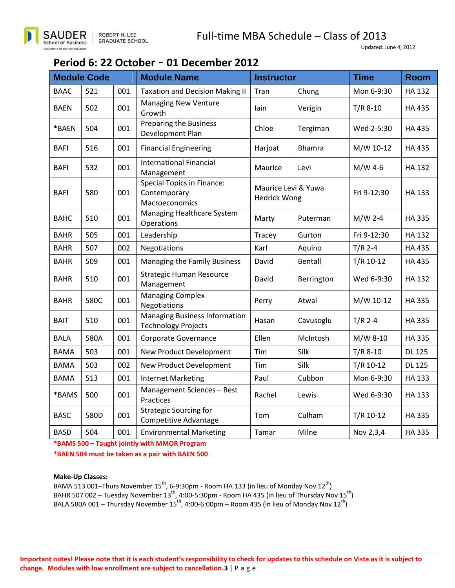

# **Period 6: 22 October** – **01 December 2012**

| <b>Module Code</b> |      |     | <b>Module Name</b>                                                  | <b>Instructor</b>                          |               | <b>Time</b> | <b>Room</b>   |
|--------------------|------|-----|---------------------------------------------------------------------|--------------------------------------------|---------------|-------------|---------------|
| <b>BAAC</b>        | 521  | 001 | <b>Taxation and Decision Making II</b>                              | Tran                                       | Chung         | Mon 6-9:30  | <b>HA 132</b> |
| <b>BAEN</b>        | 502  | 001 | <b>Managing New Venture</b><br>Growth                               | lain                                       | Verigin       | $T/R$ 8-10  | <b>HA 435</b> |
| *BAEN              | 504  | 001 | Preparing the Business<br>Development Plan                          | Chloe                                      | Tergiman      | Wed 2-5:30  | <b>HA 435</b> |
| <b>BAFI</b>        | 516  | 001 | <b>Financial Engineering</b>                                        | Harjoat                                    | <b>Bhamra</b> | M/W 10-12   | <b>HA435</b>  |
| <b>BAFI</b>        | 532  | 001 | <b>International Financial</b><br>Management                        | Maurice<br>Levi                            |               | $M/W$ 4-6   | <b>HA 132</b> |
| <b>BAFI</b>        | 580  | 001 | <b>Special Topics in Finance:</b><br>Contemporary<br>Macroeconomics | Maurice Levi & Yuwa<br><b>Hedrick Wong</b> |               | Fri 9-12:30 | HA 133        |
| <b>BAHC</b>        | 510  | 001 | Managing Healthcare System<br>Operations                            | Marty                                      | Puterman      | $M/W$ 2-4   | <b>HA335</b>  |
| <b>BAHR</b>        | 505  | 001 | Leadership                                                          | Tracey                                     | Gurton        | Fri 9-12:30 | <b>HA 132</b> |
| <b>BAHR</b>        | 507  | 002 | Negotiations                                                        | Karl                                       | Aquino        | $T/R$ 2-4   | <b>HA 435</b> |
| <b>BAHR</b>        | 509  | 001 | Managing the Family Business                                        | David                                      | Bentall       | $T/R$ 10-12 | <b>HA435</b>  |
| <b>BAHR</b>        | 510  | 001 | <b>Strategic Human Resource</b><br>Management                       | David                                      | Berrington    | Wed 6-9:30  | <b>HA 132</b> |
| <b>BAHR</b>        | 580C | 001 | <b>Managing Complex</b><br>Negotiations                             | Perry                                      | Atwal         | M/W 10-12   | <b>HA335</b>  |
| <b>BAIT</b>        | 510  | 001 | <b>Managing Business Information</b><br><b>Technology Projects</b>  | Hasan                                      | Cavusoglu     | $T/R$ 2-4   | <b>HA335</b>  |
| <b>BALA</b>        | 580A | 001 | Corporate Governance                                                | Ellen                                      | McIntosh      | M/W 8-10    | <b>HA 335</b> |
| <b>BAMA</b>        | 503  | 001 | New Product Development                                             | Tim                                        | Silk          | $T/R$ 8-10  | <b>DL 125</b> |
| <b>BAMA</b>        | 503  | 002 | New Product Development                                             | Tim                                        | Silk          | $T/R$ 10-12 | <b>DL 125</b> |
| <b>BAMA</b>        | 513  | 001 | <b>Internet Marketing</b>                                           | Paul                                       | Cubbon        | Mon 6-9:30  | <b>HA 133</b> |
| *BAMS              | 500  | 001 | Management Sciences - Best<br>Practices                             | Rachel                                     | Lewis         | Wed 6-9:30  | <b>HA 133</b> |
| <b>BASC</b>        | 580D | 001 | <b>Strategic Sourcing for</b><br><b>Competitive Advantage</b>       | Tom                                        | Culham        | $T/R$ 10-12 | <b>HA335</b>  |
| <b>BASD</b>        | 504  | 001 | <b>Environmental Marketing</b>                                      | Tamar                                      | Milne         | Nov 2,3,4   | <b>HA335</b>  |

**\*BAMS 500 – Taught jointly with MMOR Program**

**\*BAEN 504 must be taken as a pair with BAEN 500**

#### **Make-Up Classes:**

BAMA 513 001–Thurs November 15<sup>th</sup>, 6-9:30pm - Room HA 133 (in lieu of Monday Nov 12<sup>th</sup>) BAHR 507 002 – Tuesday November 13 $^{\rm th}$ , 4:00-5:30pm - Room HA 435 (in lieu of Thursday Nov 15 $^{\rm th})$ BALA 580A 001 – Thursday November 15<sup>th</sup>, 4:00-6:00pm – Room 435 (in lieu of Monday Nov 12<sup>th</sup>)